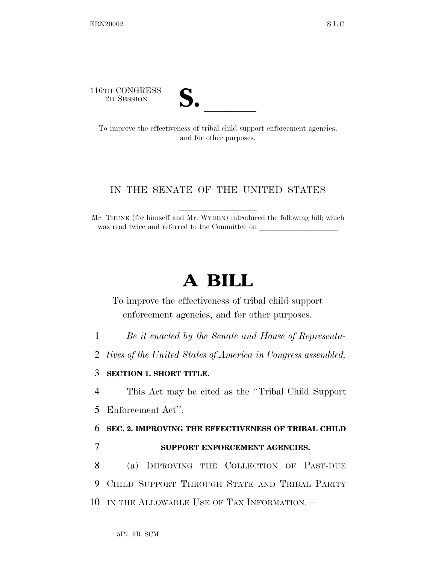116TH CONGRESS



TO SESSION **S. S. All SESSION S. S. S. S. All SESSION S. C** improve the effectiveness of tribal child support enforcement agencies, and for other purposes.

## IN THE SENATE OF THE UNITED STATES

Mr. THUNE (for himself and Mr. WYDEN) introduced the following bill; which was read twice and referred to the Committee on

## **A BILL**

To improve the effectiveness of tribal child support enforcement agencies, and for other purposes.

1 *Be it enacted by the Senate and House of Representa-*

2 *tives of the United States of America in Congress assembled,* 

## 3 **SECTION 1. SHORT TITLE.**

4 This Act may be cited as the ''Tribal Child Support

5 Enforcement Act''.

6 **SEC. 2. IMPROVING THE EFFECTIVENESS OF TRIBAL CHILD** 

## 7 **SUPPORT ENFORCEMENT AGENCIES.**

8 (a) IMPROVING THE COLLECTION OF PAST-DUE 9 CHILD SUPPORT THROUGH STATE AND TRIBAL PARITY 10 IN THE ALLOWABLE USE OF TAX INFORMATION.—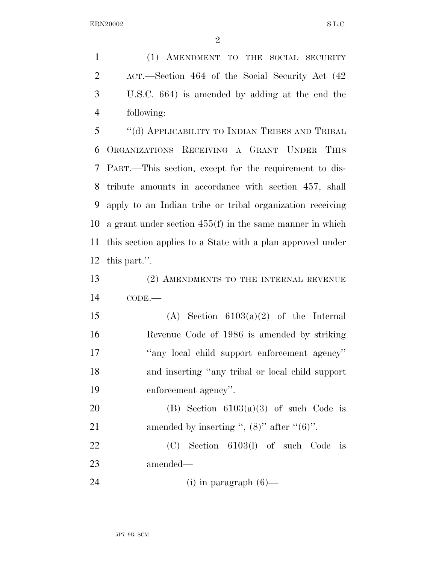(1) AMENDMENT TO THE SOCIAL SECURITY ACT.—Section 464 of the Social Security Act (42 U.S.C. 664) is amended by adding at the end the following:

 ''(d) APPLICABILITY TO INDIAN TRIBES AND TRIBAL ORGANIZATIONS RECEIVING A GRANT UNDER THIS PART.—This section, except for the requirement to dis- tribute amounts in accordance with section 457, shall apply to an Indian tribe or tribal organization receiving a grant under section 455(f) in the same manner in which this section applies to a State with a plan approved under this part.''.

 (2) AMENDMENTS TO THE INTERNAL REVENUE CODE.—

15 (A) Section  $6103(a)(2)$  of the Internal Revenue Code of 1986 is amended by striking ''any local child support enforcement agency'' and inserting ''any tribal or local child support enforcement agency''.

20 (B) Section  $6103(a)(3)$  of such Code is 21 amended by inserting ",  $(8)$ " after " $(6)$ ".

 (C) Section 6103(l) of such Code is amended—

24 (i) in paragraph (6)—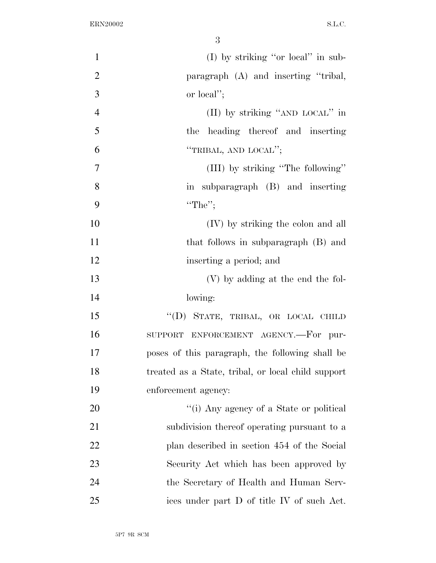| $\mathbf{1}$   | (I) by striking "or local" in sub-                 |
|----------------|----------------------------------------------------|
| $\overline{2}$ | paragraph (A) and inserting "tribal,               |
| 3              | or local";                                         |
| $\overline{4}$ | (II) by striking "AND LOCAL" in                    |
| 5              | the heading thereof and inserting                  |
| 6              | "TRIBAL, AND LOCAL";                               |
| 7              | (III) by striking "The following"                  |
| 8              | in subparagraph (B) and inserting                  |
| 9              | "The";                                             |
| 10             | (IV) by striking the colon and all                 |
| 11             | that follows in subparagraph (B) and               |
| 12             | inserting a period; and                            |
| 13             | (V) by adding at the end the fol-                  |
| 14             | lowing:                                            |
| 15             | "(D) STATE, TRIBAL, OR LOCAL CHILD                 |
| 16             | SUPPORT ENFORCEMENT AGENCY.-For pur-               |
| 17             | poses of this paragraph, the following shall be    |
| 18             | treated as a State, tribal, or local child support |
| 19             | enforcement agency:                                |
| 20             | "(i) Any agency of a State or political            |
| 21             | subdivision thereof operating pursuant to a        |
| <u>22</u>      | plan described in section 454 of the Social        |
| 23             | Security Act which has been approved by            |
| 24             | the Secretary of Health and Human Serv-            |
| 25             | ices under part D of title IV of such Act.         |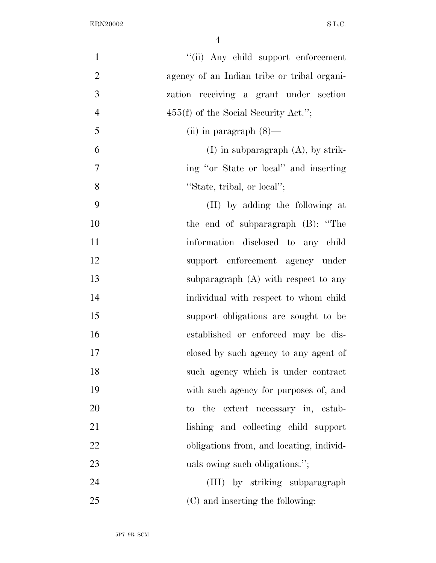| $\mathbf{1}$   | "(ii) Any child support enforcement         |
|----------------|---------------------------------------------|
| $\overline{2}$ | agency of an Indian tribe or tribal organi- |
| 3              | zation receiving a grant under section      |
| $\overline{4}$ | $455(f)$ of the Social Security Act.";      |
| 5              | (ii) in paragraph $(8)$ —                   |
| 6              | $(I)$ in subparagraph $(A)$ , by strik-     |
| $\tau$         | ing "or State or local" and inserting       |
| 8              | "State, tribal, or local";                  |
| 9              | (II) by adding the following at             |
| 10             | the end of subparagraph (B): "The           |
| 11             | information disclosed to any child          |
| 12             | support enforcement agency under            |
| 13             | subparagraph $(A)$ with respect to any      |
| 14             | individual with respect to whom child       |
| 15             | support obligations are sought to be        |
| 16             | established or enforced may be dis-         |
| 17             | closed by such agency to any agent of       |
| 18             | such agency which is under contract         |
| 19             | with such agency for purposes of, and       |
| 20             | to the extent necessary in, estab-          |
| 21             | lishing and collecting child support        |
| 22             | obligations from, and locating, individ-    |
| 23             | uals owing such obligations.";              |
| 24             | (III) by striking subparagraph              |
| 25             | (C) and inserting the following:            |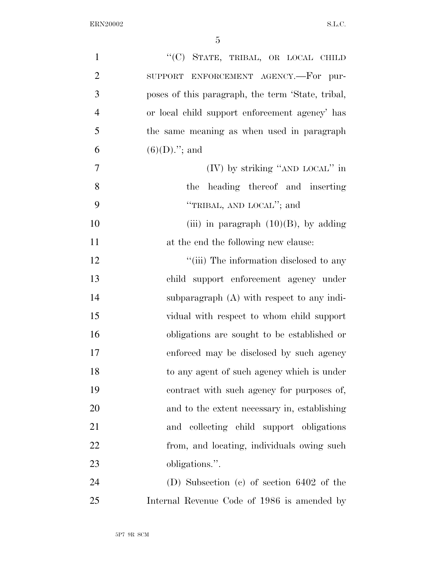| $\mathbf{1}$   | "(C) STATE, TRIBAL, OR LOCAL CHILD                |
|----------------|---------------------------------------------------|
| $\overline{2}$ | SUPPORT ENFORCEMENT AGENCY.-For pur-              |
| 3              | poses of this paragraph, the term 'State, tribal, |
| $\overline{4}$ | or local child support enforcement agency' has    |
| 5              | the same meaning as when used in paragraph        |
| 6              | $(6)(D)$ ."; and                                  |
| $\overline{7}$ | (IV) by striking "AND LOCAL" in                   |
| 8              | heading thereof and inserting<br>the              |
| 9              | "TRIBAL, AND LOCAL"; and                          |
| 10             | (iii) in paragraph $(10)(B)$ , by adding          |
| 11             | at the end the following new clause:              |
| 12             | "(iii) The information disclosed to any           |
| 13             | child support enforcement agency under            |
| 14             | subparagraph $(A)$ with respect to any indi-      |
| 15             | vidual with respect to whom child support         |
| 16             | obligations are sought to be established or       |
| 17             | enforced may be disclosed by such agency          |
| 18             | to any agent of such agency which is under        |
| 19             | contract with such agency for purposes of,        |
| 20             | and to the extent necessary in, establishing      |
| 21             | and collecting child support obligations          |
| 22             | from, and locating, individuals owing such        |
| 23             | obligations.".                                    |
| 24             | (D) Subsection (c) of section $6402$ of the       |
| 25             | Internal Revenue Code of 1986 is amended by       |